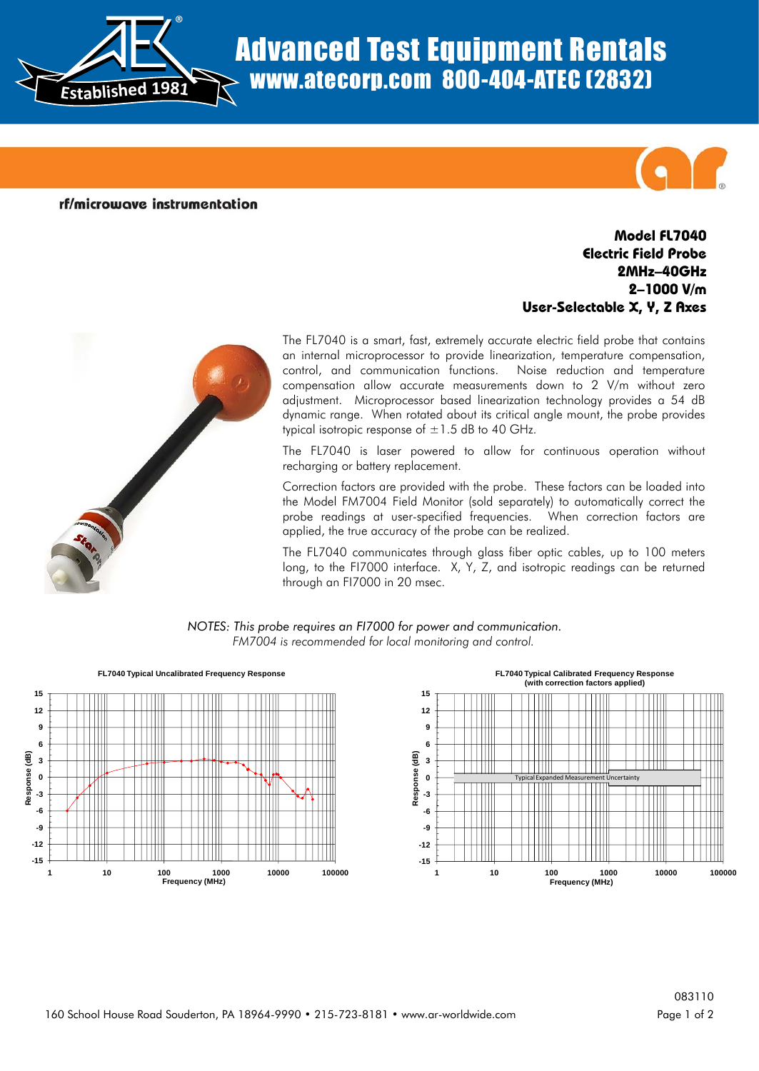

## Advanced Test Equipment Rentals www.atecorp.com 800-404-ATEC (2832)

rf/microwave instrumentation

## **Model FL7040 Electric Field Probe 2MHz–40GHz 2–1000 V/m User-Selectable X, Y, Z Axes**



The FL7040 is a smart, fast, extremely accurate electric field probe that contains an internal microprocessor to provide linearization, temperature compensation, control, and communication functions. Noise reduction and temperature compensation allow accurate measurements down to 2 V/m without zero adjustment. Microprocessor based linearization technology provides a 54 dB dynamic range. When rotated about its critical angle mount, the probe provides typical isotropic response of  $\pm 1.5$  dB to 40 GHz.

The FL7040 is laser powered to allow for continuous operation without recharging or battery replacement.

Correction factors are provided with the probe. These factors can be loaded into the Model FM7004 Field Monitor (sold separately) to automatically correct the probe readings at user-specified frequencies. When correction factors are applied, the true accuracy of the probe can be realized.

The FL7040 communicates through glass fiber optic cables, up to 100 meters long, to the FI7000 interface. X, Y, Z, and isotropic readings can be returned through an FI7000 in 20 msec.